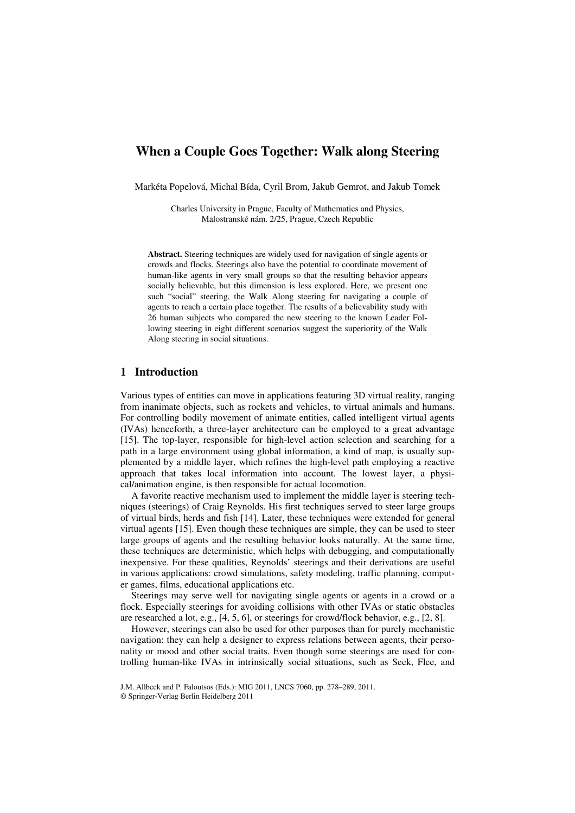# **When a Couple Goes Together: Walk along Steering**

Markéta Popelová, Michal Bída, Cyril Brom, Jakub Gemrot, and Jakub Tomek

Charles University in Prague, Faculty of Mathematics and Physics, Malostranské nám. 2/25, Prague, Czech Republic

**Abstract.** Steering techniques are widely used for navigation of single agents or crowds and flocks. Steerings also have the potential to coordinate movement of human-like agents in very small groups so that the resulting behavior appears socially believable, but this dimension is less explored. Here, we present one such "social" steering, the Walk Along steering for navigating a couple of agents to reach a certain place together. The results of a believability study with 26 human subjects who compared the new steering to the known Leader Following steering in eight different scenarios suggest the superiority of the Walk Along steering in social situations.

## **1 Introduction**

Various types of entities can move in applications featuring 3D virtual reality, ranging from inanimate objects, such as rockets and vehicles, to virtual animals and humans. For controlling bodily movement of animate entities, called intelligent virtual agents (IVAs) henceforth, a three-layer architecture can be employed to a great advantage [15]. The top-layer, responsible for high-level action selection and searching for a path in a large environment using global information, a kind of map, is usually supplemented by a middle layer, which refines the high-level path employing a reactive approach that takes local information into account. The lowest layer, a physical/animation engine, is then responsible for actual locomotion.

A favorite reactive mechanism used to implement the middle layer is steering techniques (steerings) of Craig Reynolds. His first techniques served to steer large groups of virtual birds, herds and fish [14]. Later, these techniques were extended for general virtual agents [15]. Even though these techniques are simple, they can be used to steer large groups of agents and the resulting behavior looks naturally. At the same time, these techniques are deterministic, which helps with debugging, and computationally inexpensive. For these qualities, Reynolds' steerings and their derivations are useful in various applications: crowd simulations, safety modeling, traffic planning, computer games, films, educational applications etc.

Steerings may serve well for navigating single agents or agents in a crowd or a flock. Especially steerings for avoiding collisions with other IVAs or static obstacles are researched a lot, e.g., [4, 5, 6], or steerings for crowd/flock behavior, e.g., [2, 8].

However, steerings can also be used for other purposes than for purely mechanistic navigation: they can help a designer to express relations between agents, their personality or mood and other social traits. Even though some steerings are used for controlling human-like IVAs in intrinsically social situations, such as Seek, Flee, and

J.M. Allbeck and P. Faloutsos (Eds.): MIG 2011, LNCS 7060, pp. 278–289, 2011.

<sup>©</sup> Springer-Verlag Berlin Heidelberg 2011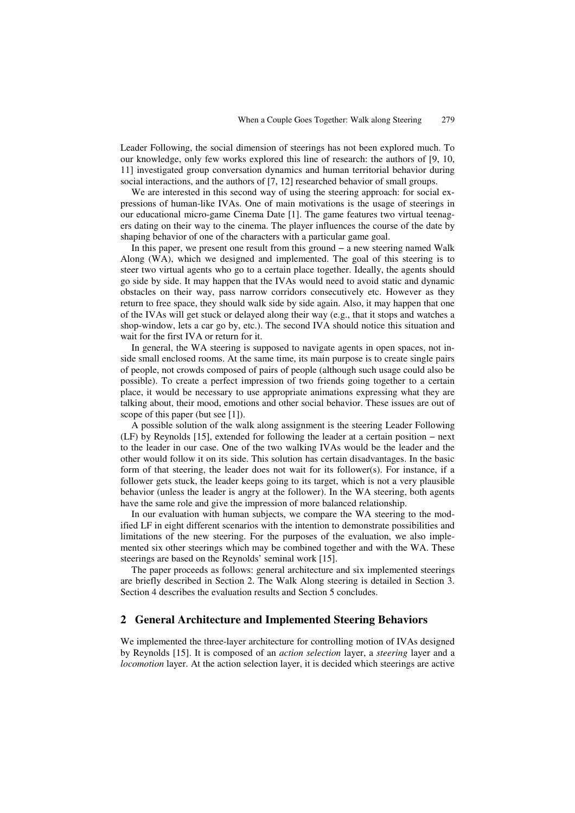Leader Following, the social dimension of steerings has not been explored much. To our knowledge, only few works explored this line of research: the authors of [9, 10, 11] investigated group conversation dynamics and human territorial behavior during social interactions, and the authors of [7, 12] researched behavior of small groups.

We are interested in this second way of using the steering approach: for social expressions of human-like IVAs. One of main motivations is the usage of steerings in our educational micro-game Cinema Date [1]. The game features two virtual teenagers dating on their way to the cinema. The player influences the course of the date by shaping behavior of one of the characters with a particular game goal.

In this paper, we present one result from this ground − a new steering named Walk Along (WA), which we designed and implemented. The goal of this steering is to steer two virtual agents who go to a certain place together. Ideally, the agents should go side by side. It may happen that the IVAs would need to avoid static and dynamic obstacles on their way, pass narrow corridors consecutively etc. However as they return to free space, they should walk side by side again. Also, it may happen that one of the IVAs will get stuck or delayed along their way (e.g., that it stops and watches a shop-window, lets a car go by, etc.). The second IVA should notice this situation and wait for the first IVA or return for it.

In general, the WA steering is supposed to navigate agents in open spaces, not inside small enclosed rooms. At the same time, its main purpose is to create single pairs of people, not crowds composed of pairs of people (although such usage could also be possible). To create a perfect impression of two friends going together to a certain place, it would be necessary to use appropriate animations expressing what they are talking about, their mood, emotions and other social behavior. These issues are out of scope of this paper (but see [1]).

A possible solution of the walk along assignment is the steering Leader Following (LF) by Reynolds [15], extended for following the leader at a certain position − next to the leader in our case. One of the two walking IVAs would be the leader and the other would follow it on its side. This solution has certain disadvantages. In the basic form of that steering, the leader does not wait for its follower(s). For instance, if a follower gets stuck, the leader keeps going to its target, which is not a very plausible behavior (unless the leader is angry at the follower). In the WA steering, both agents have the same role and give the impression of more balanced relationship.

In our evaluation with human subjects, we compare the WA steering to the modified LF in eight different scenarios with the intention to demonstrate possibilities and limitations of the new steering. For the purposes of the evaluation, we also implemented six other steerings which may be combined together and with the WA. These steerings are based on the Reynolds' seminal work [15].

The paper proceeds as follows: general architecture and six implemented steerings are briefly described in Section 2. The Walk Along steering is detailed in Section 3. Section 4 describes the evaluation results and Section 5 concludes.

### **2 General Architecture and Implemented Steering Behaviors**

We implemented the three-layer architecture for controlling motion of IVAs designed by Reynolds [15]. It is composed of an *action selection* layer, a *steering* layer and a *locomotion* layer. At the action selection layer, it is decided which steerings are active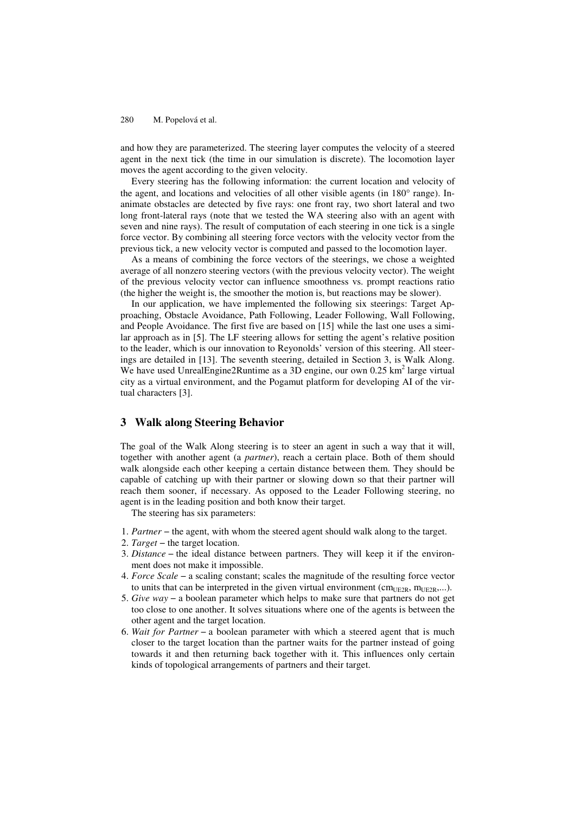and how they are parameterized. The steering layer computes the velocity of a steered agent in the next tick (the time in our simulation is discrete). The locomotion layer moves the agent according to the given velocity.

Every steering has the following information: the current location and velocity of the agent, and locations and velocities of all other visible agents (in  $180^\circ$  range). Inanimate obstacles are detected by five rays: one front ray, two short lateral and two long front-lateral rays (note that we tested the WA steering also with an agent with seven and nine rays). The result of computation of each steering in one tick is a single force vector. By combining all steering force vectors with the velocity vector from the previous tick, a new velocity vector is computed and passed to the locomotion layer.

As a means of combining the force vectors of the steerings, we chose a weighted average of all nonzero steering vectors (with the previous velocity vector). The weight of the previous velocity vector can influence smoothness vs. prompt reactions ratio (the higher the weight is, the smoother the motion is, but reactions may be slower).

In our application, we have implemented the following six steerings: Target Approaching, Obstacle Avoidance, Path Following, Leader Following, Wall Following, and People Avoidance. The first five are based on [15] while the last one uses a similar approach as in [5]. The LF steering allows for setting the agent's relative position to the leader, which is our innovation to Reyonolds' version of this steering. All steerings are detailed in [13]. The seventh steering, detailed in Section 3, is Walk Along. We have used UnrealEngine2Runtime as a  $3D$  engine, our own 0.25 km<sup>2</sup> large virtual city as a virtual environment, and the Pogamut platform for developing AI of the virtual characters [3].

### **3 Walk along Steering Behavior**

The goal of the Walk Along steering is to steer an agent in such a way that it will, together with another agent (a *partner*), reach a certain place. Both of them should walk alongside each other keeping a certain distance between them. They should be capable of catching up with their partner or slowing down so that their partner will reach them sooner, if necessary. As opposed to the Leader Following steering, no agent is in the leading position and both know their target.

The steering has six parameters:

- 1. *Partner* − the agent, with whom the steered agent should walk along to the target.
- 2. *Target* − the target location.
- 3. *Distance* − the ideal distance between partners. They will keep it if the environment does not make it impossible.
- 4. *Force Scale* − a scaling constant; scales the magnitude of the resulting force vector to units that can be interpreted in the given virtual environment ( $cm_{UER}$ ,  $m_{UER}$ ,...).
- 5. *Give way* − a boolean parameter which helps to make sure that partners do not get too close to one another. It solves situations where one of the agents is between the other agent and the target location.
- 6. *Wait for Partner* − a boolean parameter with which a steered agent that is much closer to the target location than the partner waits for the partner instead of going towards it and then returning back together with it. This influences only certain kinds of topological arrangements of partners and their target.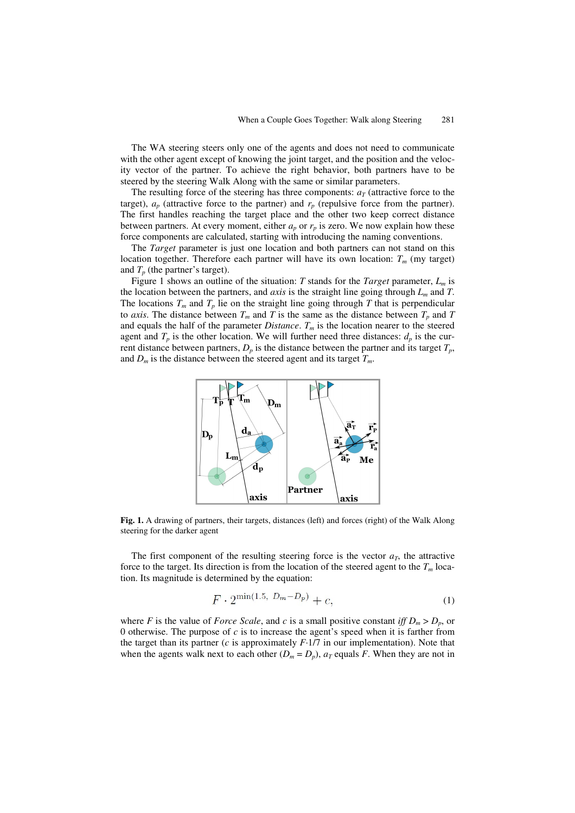The WA steering steers only one of the agents and does not need to communicate with the other agent except of knowing the joint target, and the position and the velocity vector of the partner. To achieve the right behavior, both partners have to be steered by the steering Walk Along with the same or similar parameters.

The resulting force of the steering has three components:  $a_T$  (attractive force to the target),  $a_p$  (attractive force to the partner) and  $r_p$  (repulsive force from the partner). The first handles reaching the target place and the other two keep correct distance between partners. At every moment, either  $a_p$  or  $r_p$  is zero. We now explain how these force components are calculated, starting with introducing the naming conventions.

The *Target* parameter is just one location and both partners can not stand on this location together. Therefore each partner will have its own location:  $T_m$  (my target) and  $T_p$  (the partner's target).

Figure 1 shows an outline of the situation: *T* stands for the *Target* parameter, *Lm* is the location between the partners, and *axis* is the straight line going through  $L_m$  and  $T$ . The locations  $T_m$  and  $T_p$  lie on the straight line going through *T* that is perpendicular to *axis*. The distance between  $T_m$  and *T* is the same as the distance between  $T_p$  and *T* and equals the half of the parameter *Distance*.  $T_m$  is the location nearer to the steered agent and  $T_p$  is the other location. We will further need three distances:  $d_p$  is the current distance between partners,  $D_p$  is the distance between the partner and its target  $T_p$ , and  $D_m$  is the distance between the steered agent and its target  $T_m$ .



**Fig. 1.** A drawing of partners, their targets, distances (left) and forces (right) of the Walk Along steering for the darker agent

The first component of the resulting steering force is the vector  $a_T$ , the attractive force to the target. Its direction is from the location of the steered agent to the  $T_m$  location. Its magnitude is determined by the equation:

$$
F \cdot 2^{\min(1.5, \ D_m - D_p)} + c,\tag{1}
$$

where *F* is the value of *Force Scale*, and *c* is a small positive constant *iff*  $D_m > D_p$ , or 0 otherwise. The purpose of *c* is to increase the agent's speed when it is farther from the target than its partner  $(c$  is approximately  $F·1/7$  in our implementation). Note that when the agents walk next to each other  $(D_m = D_p)$ ,  $a_T$  equals *F*. When they are not in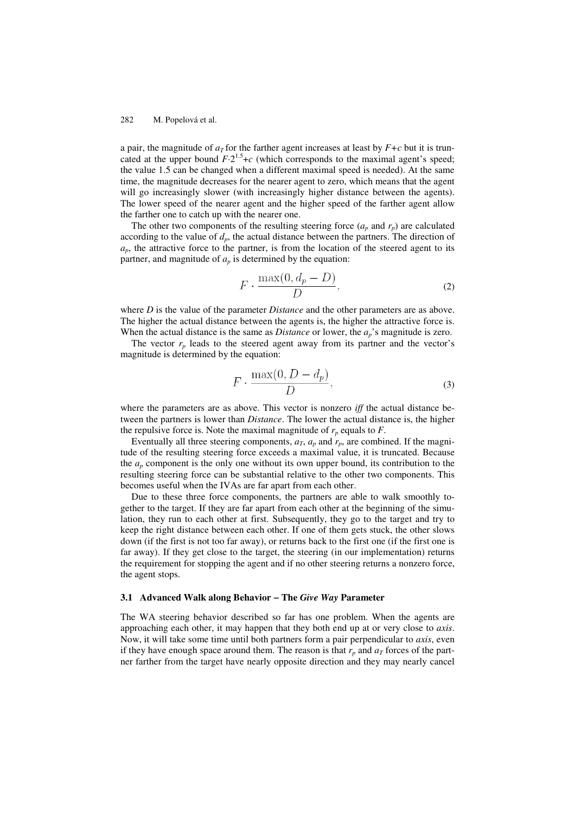a pair, the magnitude of  $a<sub>T</sub>$  for the farther agent increases at least by  $F+c$  but it is truncated at the upper bound  $F:2^{1.5}+c$  (which corresponds to the maximal agent's speed; the value 1.5 can be changed when a different maximal speed is needed). At the same time, the magnitude decreases for the nearer agent to zero, which means that the agent will go increasingly slower (with increasingly higher distance between the agents). The lower speed of the nearer agent and the higher speed of the farther agent allow the farther one to catch up with the nearer one.

The other two components of the resulting steering force  $(a_p$  and  $r_p$ ) are calculated according to the value of  $d_p$ , the actual distance between the partners. The direction of *ap*, the attractive force to the partner, is from the location of the steered agent to its partner, and magnitude of  $a<sub>p</sub>$  is determined by the equation:

$$
F \cdot \frac{\max(0, d_p - D)}{D}, \tag{2}
$$

where *D* is the value of the parameter *Distance* and the other parameters are as above. The higher the actual distance between the agents is, the higher the attractive force is. When the actual distance is the same as *Distance* or lower, the  $a_p$ 's magnitude is zero.

The vector  $r_p$  leads to the steered agent away from its partner and the vector's magnitude is determined by the equation:

$$
F \cdot \frac{\max(0, D - d_p)}{D}, \tag{3}
$$

where the parameters are as above. This vector is nonzero *iff* the actual distance between the partners is lower than *Distance*. The lower the actual distance is, the higher the repulsive force is. Note the maximal magnitude of  $r_p$  equals to  $F$ .

Eventually all three steering components,  $a_T$ ,  $a_p$  and  $r_p$ , are combined. If the magnitude of the resulting steering force exceeds a maximal value, it is truncated. Because the *ap* component is the only one without its own upper bound, its contribution to the resulting steering force can be substantial relative to the other two components. This becomes useful when the IVAs are far apart from each other.

Due to these three force components, the partners are able to walk smoothly together to the target. If they are far apart from each other at the beginning of the simulation, they run to each other at first. Subsequently, they go to the target and try to keep the right distance between each other. If one of them gets stuck, the other slows down (if the first is not too far away), or returns back to the first one (if the first one is far away). If they get close to the target, the steering (in our implementation) returns the requirement for stopping the agent and if no other steering returns a nonzero force, the agent stops.

#### **3.1 Advanced Walk along Behavior − The** *Give Way* **Parameter**

The WA steering behavior described so far has one problem. When the agents are approaching each other, it may happen that they both end up at or very close to *axis*. Now, it will take some time until both partners form a pair perpendicular to *axis*, even if they have enough space around them. The reason is that  $r_p$  and  $a_T$  forces of the partner farther from the target have nearly opposite direction and they may nearly cancel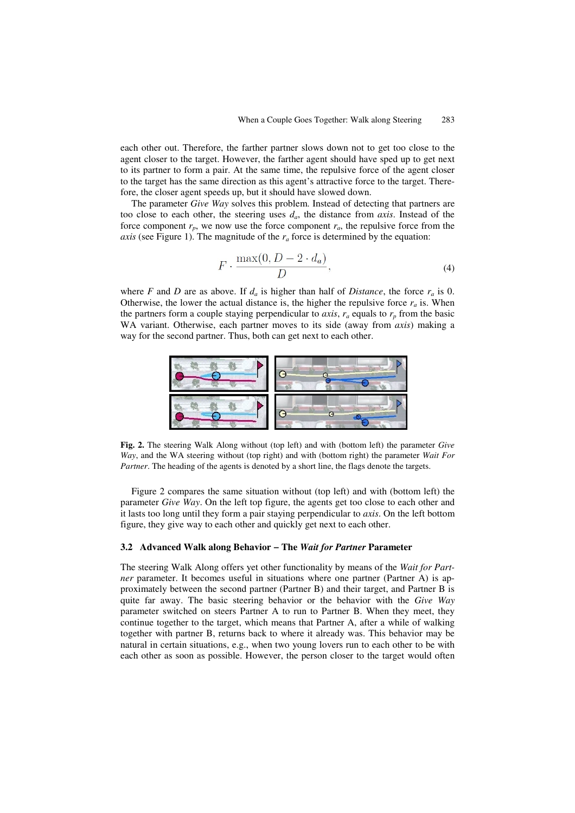each other out. Therefore, the farther partner slows down not to get too close to the agent closer to the target. However, the farther agent should have sped up to get next to its partner to form a pair. At the same time, the repulsive force of the agent closer to the target has the same direction as this agent's attractive force to the target. Therefore, the closer agent speeds up, but it should have slowed down.

The parameter *Give Way* solves this problem. Instead of detecting that partners are too close to each other, the steering uses  $d_a$ , the distance from *axis*. Instead of the force component  $r_p$ , we now use the force component  $r_a$ , the repulsive force from the *axis* (see Figure 1). The magnitude of the  $r_a$  force is determined by the equation:

$$
F \cdot \frac{\max(0, D - 2 \cdot d_a)}{D}, \tag{4}
$$

where *F* and *D* are as above. If  $d_a$  is higher than half of *Distance*, the force  $r_a$  is 0. Otherwise, the lower the actual distance is, the higher the repulsive force  $r_a$  is. When the partners form a couple staying perpendicular to *axis*,  $r_a$  equals to  $r_p$  from the basic WA variant. Otherwise, each partner moves to its side (away from *axis*) making a way for the second partner. Thus, both can get next to each other.



**Fig. 2.** The steering Walk Along without (top left) and with (bottom left) the parameter *Give Way*, and the WA steering without (top right) and with (bottom right) the parameter *Wait For Partner*. The heading of the agents is denoted by a short line, the flags denote the targets.

Figure 2 compares the same situation without (top left) and with (bottom left) the parameter *Give Way*. On the left top figure, the agents get too close to each other and it lasts too long until they form a pair staying perpendicular to *axis*. On the left bottom figure, they give way to each other and quickly get next to each other.

## **3.2 Advanced Walk along Behavior − The** *Wait for Partner* **Parameter**

The steering Walk Along offers yet other functionality by means of the *Wait for Partner* parameter. It becomes useful in situations where one partner (Partner A) is approximately between the second partner (Partner B) and their target, and Partner B is quite far away. The basic steering behavior or the behavior with the *Give Way* parameter switched on steers Partner A to run to Partner B. When they meet, they continue together to the target, which means that Partner A, after a while of walking together with partner B, returns back to where it already was. This behavior may be natural in certain situations, e.g., when two young lovers run to each other to be with each other as soon as possible. However, the person closer to the target would often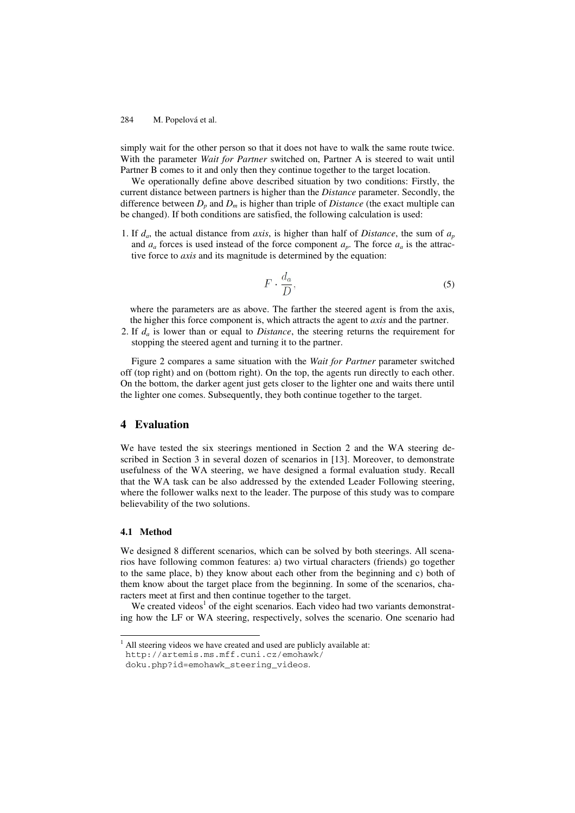simply wait for the other person so that it does not have to walk the same route twice. With the parameter *Wait for Partner* switched on, Partner A is steered to wait until Partner B comes to it and only then they continue together to the target location.

We operationally define above described situation by two conditions: Firstly, the current distance between partners is higher than the *Distance* parameter. Secondly, the difference between  $D_p$  and  $D_m$  is higher than triple of *Distance* (the exact multiple can be changed). If both conditions are satisfied, the following calculation is used:

1. If  $d_a$ , the actual distance from *axis*, is higher than half of *Distance*, the sum of  $a_p$ and  $a_a$  forces is used instead of the force component  $a_p$ . The force  $a_a$  is the attractive force to *axis* and its magnitude is determined by the equation:

$$
F \cdot \frac{d_a}{D},\tag{5}
$$

where the parameters are as above. The farther the steered agent is from the axis, the higher this force component is, which attracts the agent to *axis* and the partner. 2. If *da* is lower than or equal to *Distance*, the steering returns the requirement for

stopping the steered agent and turning it to the partner.

Figure 2 compares a same situation with the *Wait for Partner* parameter switched off (top right) and on (bottom right). On the top, the agents run directly to each other. On the bottom, the darker agent just gets closer to the lighter one and waits there until the lighter one comes. Subsequently, they both continue together to the target.

### **4 Evaluation**

We have tested the six steerings mentioned in Section 2 and the WA steering described in Section 3 in several dozen of scenarios in [13]. Moreover, to demonstrate usefulness of the WA steering, we have designed a formal evaluation study. Recall that the WA task can be also addressed by the extended Leader Following steering, where the follower walks next to the leader. The purpose of this study was to compare believability of the two solutions.

### **4.1 Method**

-

We designed 8 different scenarios, which can be solved by both steerings. All scenarios have following common features: a) two virtual characters (friends) go together to the same place, b) they know about each other from the beginning and c) both of them know about the target place from the beginning. In some of the scenarios, characters meet at first and then continue together to the target.

We created videos<sup>1</sup> of the eight scenarios. Each video had two variants demonstrating how the LF or WA steering, respectively, solves the scenario. One scenario had

<sup>&</sup>lt;sup>1</sup> All steering videos we have created and used are publicly available at:

http://artemis.ms.mff.cuni.cz/emohawk/

doku.php?id=emohawk\_steering\_videos.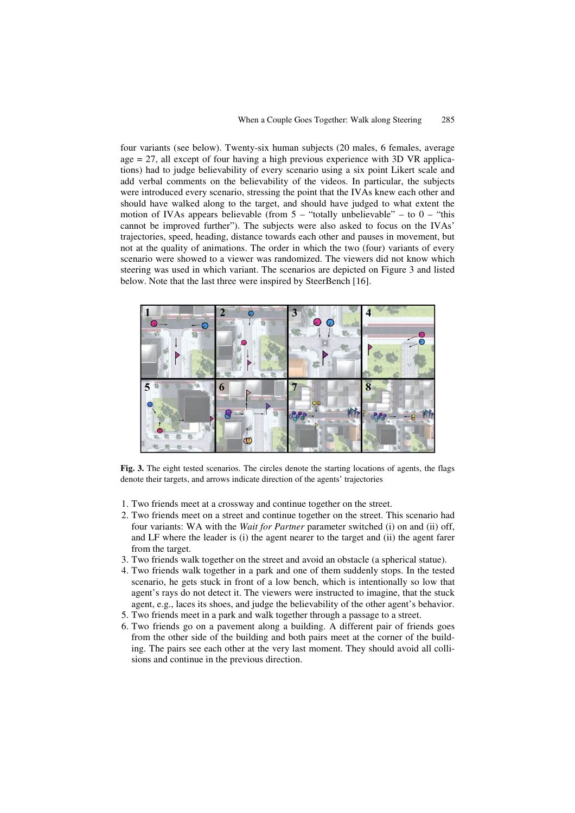four variants (see below). Twenty-six human subjects (20 males, 6 females, average age = 27, all except of four having a high previous experience with 3D VR applications) had to judge believability of every scenario using a six point Likert scale and add verbal comments on the believability of the videos. In particular, the subjects were introduced every scenario, stressing the point that the IVAs knew each other and should have walked along to the target, and should have judged to what extent the motion of IVAs appears believable (from  $5 -$  "totally unbelievable" – to  $0 -$  "this cannot be improved further"). The subjects were also asked to focus on the IVAs' trajectories, speed, heading, distance towards each other and pauses in movement, but not at the quality of animations. The order in which the two (four) variants of every scenario were showed to a viewer was randomized. The viewers did not know which steering was used in which variant. The scenarios are depicted on Figure 3 and listed below. Note that the last three were inspired by SteerBench [16].



**Fig. 3.** The eight tested scenarios. The circles denote the starting locations of agents, the flags denote their targets, and arrows indicate direction of the agents' trajectories

- 1. Two friends meet at a crossway and continue together on the street.
- 2. Two friends meet on a street and continue together on the street. This scenario had four variants: WA with the *Wait for Partner* parameter switched (i) on and (ii) off, and LF where the leader is (i) the agent nearer to the target and (ii) the agent farer from the target.
- 3. Two friends walk together on the street and avoid an obstacle (a spherical statue).
- 4. Two friends walk together in a park and one of them suddenly stops. In the tested scenario, he gets stuck in front of a low bench, which is intentionally so low that agent's rays do not detect it. The viewers were instructed to imagine, that the stuck agent, e.g., laces its shoes, and judge the believability of the other agent's behavior.
- 5. Two friends meet in a park and walk together through a passage to a street.
- 6. Two friends go on a pavement along a building. A different pair of friends goes from the other side of the building and both pairs meet at the corner of the building. The pairs see each other at the very last moment. They should avoid all collisions and continue in the previous direction.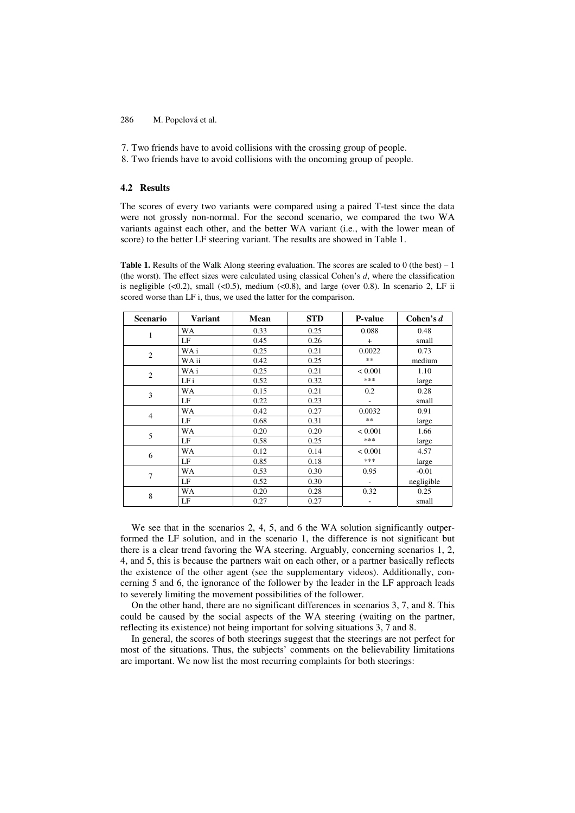- 7. Two friends have to avoid collisions with the crossing group of people.
- 8. Two friends have to avoid collisions with the oncoming group of people.

### **4.2 Results**

The scores of every two variants were compared using a paired T-test since the data were not grossly non-normal. For the second scenario, we compared the two WA variants against each other, and the better WA variant (i.e., with the lower mean of score) to the better LF steering variant. The results are showed in Table 1.

**Table 1.** Results of the Walk Along steering evaluation. The scores are scaled to 0 (the best)  $-1$ (the worst). The effect sizes were calculated using classical Cohen's *d*, where the classification is negligible  $(<0.2$ ), small  $(<0.5)$ , medium  $(<0.8)$ , and large (over 0.8). In scenario 2, LF ii scored worse than LF i, thus, we used the latter for the comparison.

| <b>Scenario</b> | <b>Variant</b>  | Mean | <b>STD</b> | <b>P-value</b>           | Cohen's $d$ |
|-----------------|-----------------|------|------------|--------------------------|-------------|
| 1               | WA              | 0.33 | 0.25       | 0.088                    | 0.48        |
|                 | LF              | 0.45 | 0.26       | $^{+}$                   | small       |
| $\overline{2}$  | WA i            | 0.25 | 0.21       | 0.0022                   | 0.73        |
|                 | WA ii           | 0.42 | 0.25       | **                       | medium      |
| $\overline{2}$  | WA i            | 0.25 | 0.21       | < 0.001                  | 1.10        |
|                 | LF <sub>i</sub> | 0.52 | 0.32       | ***                      | large       |
| 3               | WA              | 0.15 | 0.21       | 0.2                      | 0.28        |
|                 | LF              | 0.22 | 0.23       | $\overline{a}$           | small       |
| $\overline{4}$  | <b>WA</b>       | 0.42 | 0.27       | 0.0032                   | 0.91        |
|                 | LF              | 0.68 | 0.31       | **                       | large       |
| 5               | <b>WA</b>       | 0.20 | 0.20       | < 0.001                  | 1.66        |
|                 | LF              | 0.58 | 0.25       | ***                      | large       |
| 6               | <b>WA</b>       | 0.12 | 0.14       | < 0.001                  | 4.57        |
|                 | LF              | 0.85 | 0.18       | ***                      | large       |
| $\overline{7}$  | <b>WA</b>       | 0.53 | 0.30       | 0.95                     | $-0.01$     |
|                 | LF              | 0.52 | 0.30       | $\overline{\phantom{a}}$ | negligible  |
| 8               | <b>WA</b>       | 0.20 | 0.28       | 0.32                     | 0.25        |
|                 | LF              | 0.27 | 0.27       |                          | small       |

We see that in the scenarios 2, 4, 5, and 6 the WA solution significantly outperformed the LF solution, and in the scenario 1, the difference is not significant but there is a clear trend favoring the WA steering. Arguably, concerning scenarios 1, 2, 4, and 5, this is because the partners wait on each other, or a partner basically reflects the existence of the other agent (see the supplementary videos). Additionally, concerning 5 and 6, the ignorance of the follower by the leader in the LF approach leads to severely limiting the movement possibilities of the follower.

On the other hand, there are no significant differences in scenarios 3, 7, and 8. This could be caused by the social aspects of the WA steering (waiting on the partner, reflecting its existence) not being important for solving situations 3, 7 and 8.

In general, the scores of both steerings suggest that the steerings are not perfect for most of the situations. Thus, the subjects' comments on the believability limitations are important. We now list the most recurring complaints for both steerings: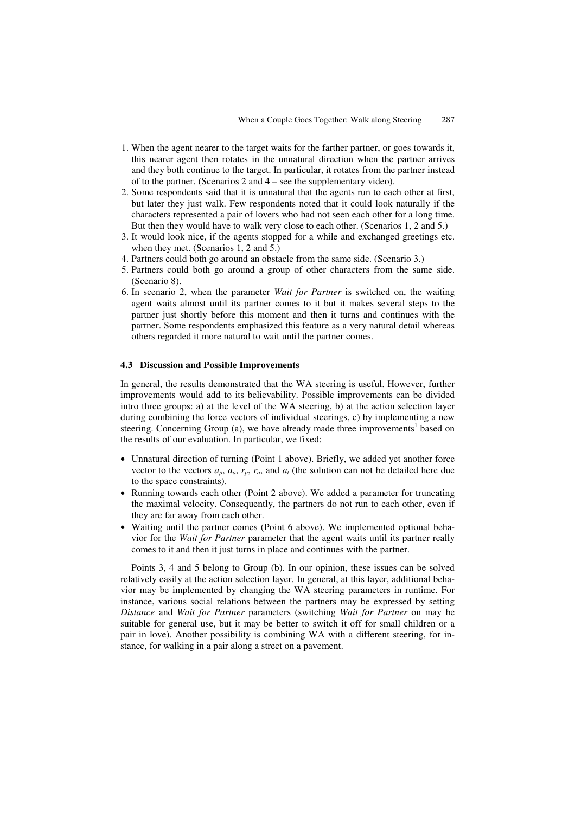- 1. When the agent nearer to the target waits for the farther partner, or goes towards it, this nearer agent then rotates in the unnatural direction when the partner arrives and they both continue to the target. In particular, it rotates from the partner instead of to the partner. (Scenarios 2 and 4 – see the supplementary video).
- 2. Some respondents said that it is unnatural that the agents run to each other at first, but later they just walk. Few respondents noted that it could look naturally if the characters represented a pair of lovers who had not seen each other for a long time. But then they would have to walk very close to each other. (Scenarios 1, 2 and 5.)
- 3. It would look nice, if the agents stopped for a while and exchanged greetings etc. when they met. (Scenarios 1, 2 and 5.)
- 4. Partners could both go around an obstacle from the same side. (Scenario 3.)
- 5. Partners could both go around a group of other characters from the same side. (Scenario 8).
- 6. In scenario 2, when the parameter *Wait for Partner* is switched on, the waiting agent waits almost until its partner comes to it but it makes several steps to the partner just shortly before this moment and then it turns and continues with the partner. Some respondents emphasized this feature as a very natural detail whereas others regarded it more natural to wait until the partner comes.

### **4.3 Discussion and Possible Improvements**

In general, the results demonstrated that the WA steering is useful. However, further improvements would add to its believability. Possible improvements can be divided intro three groups: a) at the level of the WA steering, b) at the action selection layer during combining the force vectors of individual steerings, c) by implementing a new steering. Concerning Group (a), we have already made three improvements<sup>1</sup> based on the results of our evaluation. In particular, we fixed:

- Unnatural direction of turning (Point 1 above). Briefly, we added yet another force vector to the vectors  $a_p$ ,  $a_a$ ,  $r_p$ ,  $r_a$ , and  $a_t$  (the solution can not be detailed here due to the space constraints).
- Running towards each other (Point 2 above). We added a parameter for truncating the maximal velocity. Consequently, the partners do not run to each other, even if they are far away from each other.
- Waiting until the partner comes (Point 6 above). We implemented optional behavior for the *Wait for Partner* parameter that the agent waits until its partner really comes to it and then it just turns in place and continues with the partner.

Points 3, 4 and 5 belong to Group (b). In our opinion, these issues can be solved relatively easily at the action selection layer. In general, at this layer, additional behavior may be implemented by changing the WA steering parameters in runtime. For instance, various social relations between the partners may be expressed by setting *Distance* and *Wait for Partner* parameters (switching *Wait for Partner* on may be suitable for general use, but it may be better to switch it off for small children or a pair in love). Another possibility is combining WA with a different steering, for instance, for walking in a pair along a street on a pavement.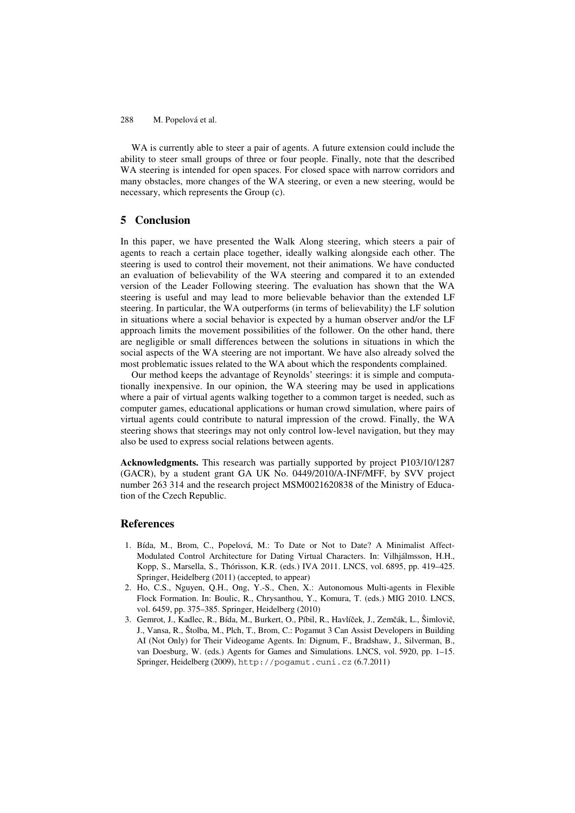WA is currently able to steer a pair of agents. A future extension could include the ability to steer small groups of three or four people. Finally, note that the described WA steering is intended for open spaces. For closed space with narrow corridors and many obstacles, more changes of the WA steering, or even a new steering, would be necessary, which represents the Group (c).

## **5 Conclusion**

In this paper, we have presented the Walk Along steering, which steers a pair of agents to reach a certain place together, ideally walking alongside each other. The steering is used to control their movement, not their animations. We have conducted an evaluation of believability of the WA steering and compared it to an extended version of the Leader Following steering. The evaluation has shown that the WA steering is useful and may lead to more believable behavior than the extended LF steering. In particular, the WA outperforms (in terms of believability) the LF solution in situations where a social behavior is expected by a human observer and/or the LF approach limits the movement possibilities of the follower. On the other hand, there are negligible or small differences between the solutions in situations in which the social aspects of the WA steering are not important. We have also already solved the most problematic issues related to the WA about which the respondents complained.

Our method keeps the advantage of Reynolds' steerings: it is simple and computationally inexpensive. In our opinion, the WA steering may be used in applications where a pair of virtual agents walking together to a common target is needed, such as computer games, educational applications or human crowd simulation, where pairs of virtual agents could contribute to natural impression of the crowd. Finally, the WA steering shows that steerings may not only control low-level navigation, but they may also be used to express social relations between agents.

**Acknowledgments.** This research was partially supported by project P103/10/1287 (GACR), by a student grant GA UK No. 0449/2010/A-INF/MFF, by SVV project number 263 314 and the research project MSM0021620838 of the Ministry of Education of the Czech Republic.

## **References**

- 1. Bída, M., Brom, C., Popelová, M.: To Date or Not to Date? A Minimalist Affect-Modulated Control Architecture for Dating Virtual Characters. In: Vilhjálmsson, H.H., Kopp, S., Marsella, S., Thórisson, K.R. (eds.) IVA 2011. LNCS, vol. 6895, pp. 419–425. Springer, Heidelberg (2011) (accepted, to appear)
- 2. Ho, C.S., Nguyen, Q.H., Ong, Y.-S., Chen, X.: Autonomous Multi-agents in Flexible Flock Formation. In: Boulic, R., Chrysanthou, Y., Komura, T. (eds.) MIG 2010. LNCS, vol. 6459, pp. 375–385. Springer, Heidelberg (2010)
- 3. Gemrot, J., Kadlec, R., Bída, M., Burkert, O., Píbil, R., Havlíček, J., Zemčák, L., Šimlovič, J., Vansa, R., Štolba, M., Plch, T., Brom, C.: Pogamut 3 Can Assist Developers in Building AI (Not Only) for Their Videogame Agents. In: Dignum, F., Bradshaw, J., Silverman, B., van Doesburg, W. (eds.) Agents for Games and Simulations. LNCS, vol. 5920, pp. 1–15. Springer, Heidelberg (2009), http://pogamut.cuni.cz (6.7.2011)